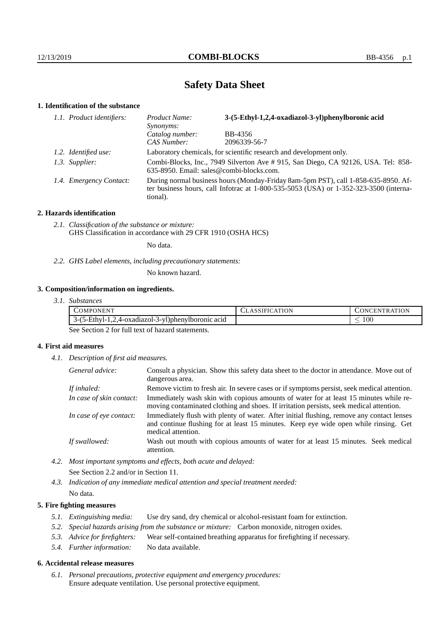# **Safety Data Sheet**

## **1. Identification of the substance**

| 1.1. Product identifiers: | Product Name:<br>Synonyms:                                                                                                                                                                  | 3-(5-Ethyl-1,2,4-oxadiazol-3-yl)phenylboronic acid |  |
|---------------------------|---------------------------------------------------------------------------------------------------------------------------------------------------------------------------------------------|----------------------------------------------------|--|
|                           | Catalog number:                                                                                                                                                                             | BB-4356                                            |  |
|                           | CAS Number:                                                                                                                                                                                 | 2096339-56-7                                       |  |
| 1.2. Identified use:      | Laboratory chemicals, for scientific research and development only.                                                                                                                         |                                                    |  |
| 1.3. Supplier:            | Combi-Blocks, Inc., 7949 Silverton Ave # 915, San Diego, CA 92126, USA. Tel: 858-<br>635-8950. Email: sales@combi-blocks.com.                                                               |                                                    |  |
| 1.4. Emergency Contact:   | During normal business hours (Monday-Friday 8am-5pm PST), call 1-858-635-8950. Af-<br>ter business hours, call Infotrac at $1-800-535-5053$ (USA) or $1-352-323-3500$ (interna-<br>tional). |                                                    |  |

## **2. Hazards identification**

*2.1. Classification of the substance or mixture:* GHS Classification in accordance with 29 CFR 1910 (OSHA HCS)

No data.

*2.2. GHS Label elements, including precautionary statements:*

No known hazard.

## **3. Composition/information on ingredients.**

| 3.1. Substances |
|-----------------|
|                 |

| 'OMPONEN'                                                               | TON<br>1 E I O | ATION<br>$\mathbf{N}$<br>`H.N<br>`R ∆ |
|-------------------------------------------------------------------------|----------------|---------------------------------------|
| -3-yl)phenylboronic acid<br>.4-oxadiazol-.<br>. −Fthvl− '<br>۱ – ۱<br>ت |                | 100<br>_                              |

See Section 2 for full text of hazard statements.

## **4. First aid measures**

*4.1. Description of first aid measures.*

| General advice:          | Consult a physician. Show this safety data sheet to the doctor in attendance. Move out of<br>dangerous area.                                                                                            |
|--------------------------|---------------------------------------------------------------------------------------------------------------------------------------------------------------------------------------------------------|
| If inhaled:              | Remove victim to fresh air. In severe cases or if symptoms persist, seek medical attention.                                                                                                             |
| In case of skin contact: | Immediately wash skin with copious amounts of water for at least 15 minutes while re-<br>moving contaminated clothing and shoes. If irritation persists, seek medical attention.                        |
| In case of eye contact:  | Immediately flush with plenty of water. After initial flushing, remove any contact lenses<br>and continue flushing for at least 15 minutes. Keep eye wide open while rinsing. Get<br>medical attention. |
| If swallowed:            | Wash out mouth with copious amounts of water for at least 15 minutes. Seek medical<br>attention.                                                                                                        |

*4.2. Most important symptoms and effects, both acute and delayed:* See Section 2.2 and/or in Section 11.

*4.3. Indication of any immediate medical attention and special treatment needed:* No data.

## **5. Fire fighting measures**

- *5.1. Extinguishing media:* Use dry sand, dry chemical or alcohol-resistant foam for extinction.
- *5.2. Special hazards arising from the substance or mixture:* Carbon monoxide, nitrogen oxides.
- *5.3. Advice for firefighters:* Wear self-contained breathing apparatus for firefighting if necessary.
- *5.4. Further information:* No data available.

### **6. Accidental release measures**

*6.1. Personal precautions, protective equipment and emergency procedures:* Ensure adequate ventilation. Use personal protective equipment.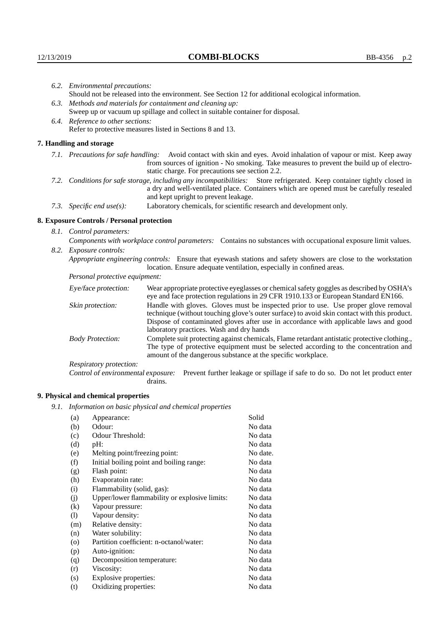|                                                                                                    | 6.2. Environmental precautions:                                                                                                                                                                                                                            |                                                                                                                                                                                                                                                                    |  |  |
|----------------------------------------------------------------------------------------------------|------------------------------------------------------------------------------------------------------------------------------------------------------------------------------------------------------------------------------------------------------------|--------------------------------------------------------------------------------------------------------------------------------------------------------------------------------------------------------------------------------------------------------------------|--|--|
| Should not be released into the environment. See Section 12 for additional ecological information. |                                                                                                                                                                                                                                                            |                                                                                                                                                                                                                                                                    |  |  |
| 6.3. Methods and materials for containment and cleaning up:                                        |                                                                                                                                                                                                                                                            |                                                                                                                                                                                                                                                                    |  |  |
|                                                                                                    |                                                                                                                                                                                                                                                            | Sweep up or vacuum up spillage and collect in suitable container for disposal.                                                                                                                                                                                     |  |  |
|                                                                                                    | 6.4. Reference to other sections:                                                                                                                                                                                                                          |                                                                                                                                                                                                                                                                    |  |  |
|                                                                                                    | Refer to protective measures listed in Sections 8 and 13.                                                                                                                                                                                                  |                                                                                                                                                                                                                                                                    |  |  |
|                                                                                                    | 7. Handling and storage                                                                                                                                                                                                                                    |                                                                                                                                                                                                                                                                    |  |  |
|                                                                                                    |                                                                                                                                                                                                                                                            | 7.1. Precautions for safe handling: Avoid contact with skin and eyes. Avoid inhalation of vapour or mist. Keep away<br>from sources of ignition - No smoking. Take measures to prevent the build up of electro-<br>static charge. For precautions see section 2.2. |  |  |
|                                                                                                    | 7.2. Conditions for safe storage, including any incompatibilities: Store refrigerated. Keep container tightly closed in<br>a dry and well-ventilated place. Containers which are opened must be carefully resealed<br>and kept upright to prevent leakage. |                                                                                                                                                                                                                                                                    |  |  |
|                                                                                                    | 7.3. Specific end use(s):                                                                                                                                                                                                                                  | Laboratory chemicals, for scientific research and development only.                                                                                                                                                                                                |  |  |
|                                                                                                    | 8. Exposure Controls / Personal protection                                                                                                                                                                                                                 |                                                                                                                                                                                                                                                                    |  |  |
|                                                                                                    | 8.1. Control parameters:                                                                                                                                                                                                                                   |                                                                                                                                                                                                                                                                    |  |  |
|                                                                                                    | Components with workplace control parameters: Contains no substances with occupational exposure limit values.                                                                                                                                              |                                                                                                                                                                                                                                                                    |  |  |
|                                                                                                    | 8.2. Exposure controls:                                                                                                                                                                                                                                    |                                                                                                                                                                                                                                                                    |  |  |
|                                                                                                    | Appropriate engineering controls: Ensure that eyewash stations and safety showers are close to the workstation<br>location. Ensure adequate ventilation, especially in confined areas.                                                                     |                                                                                                                                                                                                                                                                    |  |  |
|                                                                                                    | Personal protective equipment:                                                                                                                                                                                                                             |                                                                                                                                                                                                                                                                    |  |  |
|                                                                                                    | Eye/face protection:                                                                                                                                                                                                                                       | Wear appropriate protective eyeglasses or chemical safety goggles as described by OSHA's<br>eye and face protection regulations in 29 CFR 1910.133 or European Standard EN166.                                                                                     |  |  |
|                                                                                                    | Skin protection:                                                                                                                                                                                                                                           | Handle with gloves. Gloves must be inspected prior to use. Use proper glove removal<br>technique (without touching glove's outer surface) to avoid skin contact with this product                                                                                  |  |  |

| Eye/face protection:                                                                                                                                                                                                                                                            | Wear appropriate protective eyeglasses or chemical safety goggles as described by OSHA's<br>eye and face protection regulations in 29 CFR 1910.133 or European Standard EN166.                                                                                                                                         |  |  |
|---------------------------------------------------------------------------------------------------------------------------------------------------------------------------------------------------------------------------------------------------------------------------------|------------------------------------------------------------------------------------------------------------------------------------------------------------------------------------------------------------------------------------------------------------------------------------------------------------------------|--|--|
| Skin protection:                                                                                                                                                                                                                                                                | Handle with gloves. Gloves must be inspected prior to use. Use proper glove removal<br>technique (without touching glove's outer surface) to avoid skin contact with this product.<br>Dispose of contaminated gloves after use in accordance with applicable laws and good<br>laboratory practices. Wash and dry hands |  |  |
| Complete suit protecting against chemicals, Flame retardant antistatic protective clothing.,<br><b>Body Protection:</b><br>The type of protective equipment must be selected according to the concentration and<br>amount of the dangerous substance at the specific workplace. |                                                                                                                                                                                                                                                                                                                        |  |  |
| Respiratory protection:                                                                                                                                                                                                                                                         |                                                                                                                                                                                                                                                                                                                        |  |  |
| Control of environmental exposure:                                                                                                                                                                                                                                              | Prevent further leakage or spillage if safe to do so. Do not let product enter<br>drains.                                                                                                                                                                                                                              |  |  |

## **9. Physical and chemical properties**

*9.1. Information on basic physical and chemical properties*

| (a)     | Appearance:                                   | Solid    |
|---------|-----------------------------------------------|----------|
| (b)     | Odour:                                        | No data  |
| (c)     | Odour Threshold:                              | No data  |
| (d)     | pH:                                           | No data  |
| (e)     | Melting point/freezing point:                 | No date. |
| (f)     | Initial boiling point and boiling range:      | No data  |
| (g)     | Flash point:                                  | No data  |
| (h)     | Evaporatoin rate:                             | No data  |
| (i)     | Flammability (solid, gas):                    | No data  |
| (i)     | Upper/lower flammability or explosive limits: | No data  |
| (k)     | Vapour pressure:                              | No data  |
| (1)     | Vapour density:                               | No data  |
| (m)     | Relative density:                             | No data  |
| (n)     | Water solubility:                             | No data  |
| $\circ$ | Partition coefficient: n-octanol/water:       | No data  |
| (p)     | Auto-ignition:                                | No data  |
| (q)     | Decomposition temperature:                    | No data  |
| (r)     | Viscosity:                                    | No data  |
| (s)     | Explosive properties:                         | No data  |
| (t)     | Oxidizing properties:                         | No data  |
|         |                                               |          |